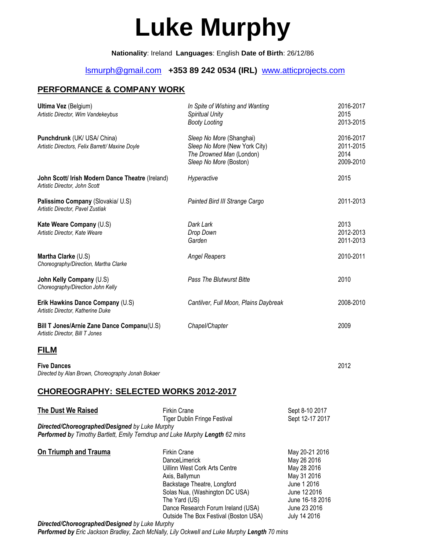# **Luke Murphy**

**Nationality**: Ireland **Languages**: English **Date of Birth**: 26/12/86

# [lsmurph@gmail.com](mailto:lsmurph@gmail.com) **+353 89 242 0534 (IRL)** [www.atticprojects.com](http://www.atticprojects.com/)

## **PERFORMANCE & COMPANY WORK**

| <b>Ultima Vez</b> (Belgium)<br>Artistic Director, Wim Vandekeybus                                                                                           | In Spite of Wishing and Wanting<br><b>Spiritual Unity</b><br><b>Booty Looting</b>                                                                                                                                                                        |                                                                                                                                               | 2016-2017<br>2015<br>2013-2015              |
|-------------------------------------------------------------------------------------------------------------------------------------------------------------|----------------------------------------------------------------------------------------------------------------------------------------------------------------------------------------------------------------------------------------------------------|-----------------------------------------------------------------------------------------------------------------------------------------------|---------------------------------------------|
| Punchdrunk (UK/ USA/ China)<br>Artistic Directors, Felix Barrett/ Maxine Doyle                                                                              | Sleep No More (Shanghai)<br>Sleep No More (New York City)<br>The Drowned Man (London)<br>Sleep No More (Boston)                                                                                                                                          |                                                                                                                                               | 2016-2017<br>2011-2015<br>2014<br>2009-2010 |
| John Scott/ Irish Modern Dance Theatre (Ireland)<br>Artistic Director, John Scott                                                                           | Hyperactive                                                                                                                                                                                                                                              |                                                                                                                                               | 2015                                        |
| Palissimo Company (Slovakia/ U.S)<br>Artistic Director, Pavel Zustiak                                                                                       | Painted Bird III Strange Cargo                                                                                                                                                                                                                           |                                                                                                                                               | 2011-2013                                   |
| Kate Weare Company (U.S)<br>Artistic Director, Kate Weare                                                                                                   | Dark Lark<br>Drop Down<br>Garden                                                                                                                                                                                                                         |                                                                                                                                               | 2013<br>2012-2013<br>2011-2013              |
| Martha Clarke (U.S)<br>Choreography/Direction, Martha Clarke                                                                                                | <b>Angel Reapers</b>                                                                                                                                                                                                                                     |                                                                                                                                               | 2010-2011                                   |
| John Kelly Company (U.S)<br>Choreography/Direction John Kelly                                                                                               | <b>Pass The Blutwurst Bitte</b>                                                                                                                                                                                                                          |                                                                                                                                               | 2010                                        |
| Erik Hawkins Dance Company (U.S)<br>Artistic Director, Katherine Duke                                                                                       | Cantilver, Full Moon, Plains Daybreak                                                                                                                                                                                                                    |                                                                                                                                               | 2008-2010                                   |
| Bill T Jones/Arnie Zane Dance Companu(U.S)<br>Artistic Director, Bill T Jones                                                                               | Chapel/Chapter                                                                                                                                                                                                                                           |                                                                                                                                               | 2009                                        |
| <u>FILM</u>                                                                                                                                                 |                                                                                                                                                                                                                                                          |                                                                                                                                               |                                             |
| <b>Five Dances</b><br>Directed by Alan Brown, Choreography Jonah Bokaer                                                                                     |                                                                                                                                                                                                                                                          |                                                                                                                                               | 2012                                        |
| CHOREOGRAPHY: SELECTED WORKS 2012-2017                                                                                                                      |                                                                                                                                                                                                                                                          |                                                                                                                                               |                                             |
| <b>The Dust We Raised</b><br>Directed/Choreographed/Designed by Luke Murphy<br>Performed by Timothy Bartlett, Emily Terndrup and Luke Murphy Length 62 mins | <b>Firkin Crane</b><br><b>Tiger Dublin Fringe Festival</b>                                                                                                                                                                                               | Sept 8-10 2017<br>Sept 12-17 2017                                                                                                             |                                             |
| <b>On Triumph and Trauma</b><br>Directed/Choreographed/Designed by Luke Murphy                                                                              | <b>Firkin Crane</b><br>DanceLimerick<br>Uillinn West Cork Arts Centre<br>Axis, Ballymun<br>Backstage Theatre, Longford<br>Solas Nua, (Washington DC USA)<br>The Yard (US)<br>Dance Research Forum Ireland (USA)<br>Outside The Box Festival (Boston USA) | May 20-21 2016<br>May 26 2016<br>May 28 2016<br>May 31 2016<br>June 1 2016<br>June 12 2016<br>June 16-18 2016<br>June 23 2016<br>July 14 2016 |                                             |

*Performed by Eric Jackson Bradley, Zach McNally, Lily Ockwell and Luke Murphy Length 70 mins*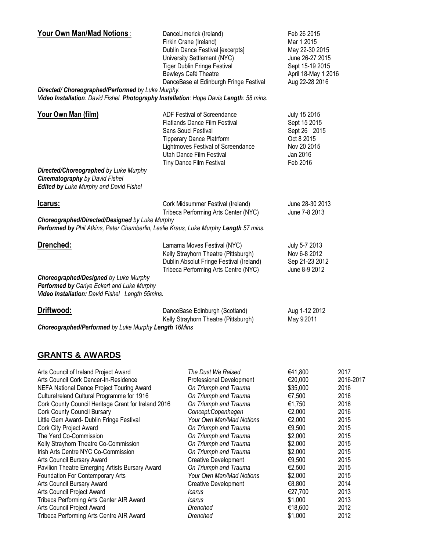| <b>Your Own Man/Mad Notions:</b>                                                                                                                          | DanceLimerick (Ireland)<br>Firkin Crane (Ireland)<br>Dublin Dance Festival [excerpts]<br>University Settlement (NYC)<br><b>Tiger Dublin Fringe Festival</b><br>Bewleys Café Theatre<br>DanceBase at Edinburgh Fringe Festival | Feb 26 2015<br>Mar 1 2015<br>May 22-30 2015<br>June 26-27 2015<br>Sept 15-19 2015<br>April 18-May 1 2016<br>Aug 22-28 2016 |
|-----------------------------------------------------------------------------------------------------------------------------------------------------------|-------------------------------------------------------------------------------------------------------------------------------------------------------------------------------------------------------------------------------|----------------------------------------------------------------------------------------------------------------------------|
| Directed/ Choreographed/Performed by Luke Murphy.<br>Video Installation: David Fishel. Photography Installation: Hope Davis Length: 58 mins.              |                                                                                                                                                                                                                               |                                                                                                                            |
| Your Own Man (film)<br>Directed/Choreographed by Luke Murphy<br><b>Cinematography by David Fishel</b><br><b>Edited by Luke Murphy and David Fishel</b>    | ADF Festival of Screendance<br><b>Flatlands Dance Film Festival</b><br>Sans Souci Festival<br><b>Tipperary Dance Platrform</b><br>Lightmoves Festival of Screendance<br>Utah Dance Film Festival<br>Tiny Dance Film Festival  | July 15 2015<br>Sept 15 2015<br>Sept 26 2015<br>Oct 8 2015<br>Nov 20 2015<br>Jan 2016<br>Feb 2016                          |
| <u>Icarus:</u><br>Choreographed/Directed/Designed by Luke Murphy<br>Performed by Phil Atkins, Peter Chamberlin, Leslie Kraus, Luke Murphy Length 57 mins. | Cork Midsummer Festival (Ireland)<br>Tribeca Performing Arts Center (NYC)                                                                                                                                                     | June 28-30 2013<br>June 7-8 2013                                                                                           |
| Drenched:<br>Choreographed/Designed by Luke Murphy<br>Performed by Carlye Eckert and Luke Murphy                                                          | Lamama Moves Festival (NYC)<br>Kelly Strayhorn Theatre (Pittsburgh)<br>Dublin Absolut Fringe Festival (Ireland)<br>Tribeca Performing Arts Centre (NYC)                                                                       | July 5-7 2013<br>Nov 6-8 2012<br>Sep 21-23 2012<br>June 8-9 2012                                                           |
| Video Installation: David Fishel Length 55mins.                                                                                                           |                                                                                                                                                                                                                               |                                                                                                                            |
| Driftwood:<br>Choreographed/Performed by Luke Murphy Length 16Mins                                                                                        | DanceBase Edinburgh (Scotland)<br>Kelly Strayhorn Theatre (Pittsburgh)                                                                                                                                                        | Aug 1-12 2012<br>May 92011                                                                                                 |

## **GRANTS & AWARDS**

| Arts Council of Ireland Project Award               | The Dust We Raised          | €41,800  | 2017      |
|-----------------------------------------------------|-----------------------------|----------|-----------|
| Arts Council Cork Dancer-In-Residence               | Professional Development    | €20,000  | 2016-2017 |
| NEFA National Dance Project Touring Award           | On Triumph and Trauma       | \$35,000 | 2016      |
| CultureIreland Cultural Programme for 1916          | On Triumph and Trauma       | €7,500   | 2016      |
| Cork County Council Heritage Grant for Ireland 2016 | On Triumph and Trauma       | €1,750   | 2016      |
| <b>Cork County Council Bursary</b>                  | Concept:Copenhagen          | €2,000   | 2016      |
| Little Gem Award- Dublin Fringe Festival            | Your Own Man/Mad Notions    | €2,000   | 2015      |
| <b>Cork City Project Award</b>                      | On Triumph and Trauma       | €9,500   | 2015      |
| The Yard Co-Commission                              | On Triumph and Trauma       | \$2,000  | 2015      |
| Kelly Strayhorn Theatre Co-Commission               | On Triumph and Trauma       | \$2,000  | 2015      |
| Irish Arts Centre NYC Co-Commission                 | On Triumph and Trauma       | \$2,000  | 2015      |
| Arts Council Bursary Award                          | <b>Creative Development</b> | €9,500   | 2015      |
| Pavilion Theatre Emerging Artists Bursary Award     | On Triumph and Trauma       | €2,500   | 2015      |
| Foundation For Contemporary Arts                    | Your Own Man/Mad Notions    | \$2,000  | 2015      |
| Arts Council Bursary Award                          | <b>Creative Development</b> | €8,800   | 2014      |
| Arts Council Project Award                          | Icarus                      | €27,700  | 2013      |
| Tribeca Performing Arts Center AIR Award            | Icarus                      | \$1,000  | 2013      |
| Arts Council Project Award                          | Drenched                    | €18,600  | 2012      |
| Tribeca Performing Arts Centre AIR Award            | Drenched                    | \$1,000  | 2012      |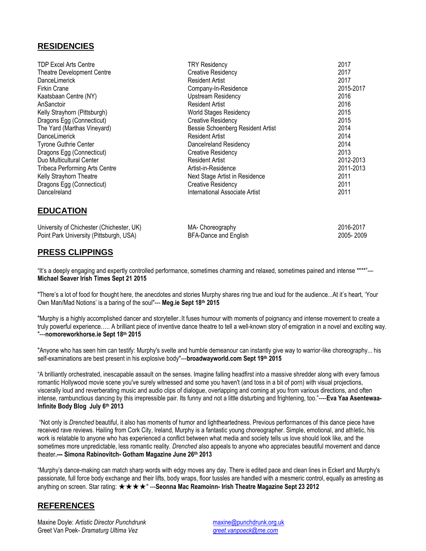#### **RESIDENCIES**

| <b>TDP Excel Arts Centre</b>          | <b>TRY Residency</b>              | 2017      |
|---------------------------------------|-----------------------------------|-----------|
| Theatre Development Centre            | <b>Creative Residency</b>         | 2017      |
| <b>DanceLimerick</b>                  | <b>Resident Artist</b>            | 2017      |
| <b>Firkin Crane</b>                   | Company-In-Residence              | 2015-2017 |
| Kaatsbaan Centre (NY)                 | <b>Upstream Residency</b>         | 2016      |
| AnSanctoir                            | <b>Resident Artist</b>            | 2016      |
| Kelly Strayhorn (Pittsburgh)          | <b>World Stages Residency</b>     | 2015      |
| Dragons Egg (Connecticut)             | <b>Creative Residency</b>         | 2015      |
| The Yard (Marthas Vineyard)           | Bessie Schoenberg Resident Artist | 2014      |
| <b>DanceLimerick</b>                  | <b>Resident Artist</b>            | 2014      |
| <b>Tyrone Guthrie Center</b>          | Dancelreland Residency            | 2014      |
| Dragons Egg (Connecticut)             | <b>Creative Residency</b>         | 2013      |
| Duo Multicultural Center              | <b>Resident Artist</b>            | 2012-2013 |
| <b>Tribeca Performing Arts Centre</b> | Artist-in-Residence               | 2011-2013 |
| Kelly Strayhorn Theatre               | Next Stage Artist in Residence    | 2011      |
| Dragons Egg (Connecticut)             | <b>Creative Residency</b>         | 2011      |
| DanceIreland                          | International Associate Artist    | 2011      |

| <b>EDUCATION</b> |  |
|------------------|--|
|                  |  |

| University of Chichester (Chichester, UK) | MA- Choreography      | 2016-2017 |
|-------------------------------------------|-----------------------|-----------|
| Point Park University (Pittsburgh, USA)   | BFA-Dance and English | 2005-2009 |

#### **PRESS CLIPPINGS**

"It's a deeply engaging and expertly controlled performance, sometimes charming and relaxed, sometimes pained and intense \*\*\*\*"— **Michael Seaver Irish Times Sept 21 2015**

"There's a lot of food for thought here, the anecdotes and stories Murphy shares ring true and loud for the audience...At it's heart, 'Your Own Man/Mad Notions' is a baring of the soul"--- **Meg.ie Sept 18th 2015**

"Murphy is a highly accomplished dancer and storyteller..It fuses humour with moments of poignancy and intense movement to create a truly powerful experience….. A brilliant piece of inventive dance theatre to tell a well-known story of emigration in a novel and exciting way. "---**nomoreworkhorse.ie Sept 18th 2015**

"Anyone who has seen him can testify: Murphy's svelte and humble demeanour can instantly give way to warrior-like choreography... his self-examinations are best present in his explosive body"---**broadwayworld.com Sept 19th 2015**

"A brilliantly orchestrated, inescapable assault on the senses. Imagine falling headfirst into a massive shredder along with every famous romantic Hollywood movie scene you've surely witnessed and some you haven't (and toss in a bit of porn) with visual projections, viscerally loud and reverberating music and audio clips of dialogue, overlapping and coming at you from various directions, and often intense, rambunctious dancing by this irrepressible pair. Its funny and not a little disturbing and frightening, too."----**Eva Yaa Asentewaa-Infinite Body Blog July 6th 2013**

"Not only is *Drenched* beautiful, it also has moments of humor and lightheartedness. Previous performances of this dance piece have received rave reviews. Hailing from Cork City, Ireland, Murphy is a fantastic young choreographer. Simple, emotional, and athletic, his work is relatable to anyone who has experienced a conflict between what media and society tells us love should look like, and the sometimes more unpredictable, less romantic reality. *Drenched* also appeals to anyone who appreciates beautiful movement and dance theater**.--- Simona Rabinovitch- Gotham Magazine June 26th 2013**

"Murphy's dance-making can match sharp words with edgy moves any day. There is edited pace and clean lines in Eckert and Murphy's passionate, full force body exchange and their lifts, body wraps, floor tussles are handled with a mesmeric control, equally as arresting as anything on screen. Star rating: ★★★★" ---**Seonna Mac Reamoinn- Irish Theatre Magazine Sept 23 2012**

#### **REFERENCES**

Maxine Doyle: *Artistic Director Punchdrunk* [maxine@punchdrunk.org.uk](mailto:maxine@punchdrunk.org.uk) Greet Van Poek- *Dramaturg Ultima Vez [greet.vanpoeck@me.com](mailto:greet.vanpoeck@me.com)*